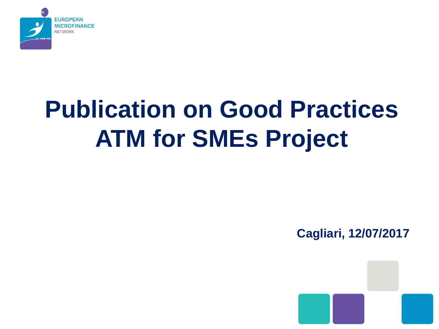

## **Publication on Good Practices ATM for SMEs Project**

**Cagliari, 12/07/2017**

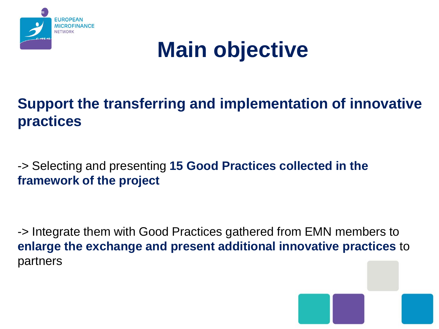

### **Main objective**

#### **Support the transferring and implementation of innovative practices**

-> Selecting and presenting **15 Good Practices collected in the framework of the project**

-> Integrate them with Good Practices gathered from EMN members to **enlarge the exchange and present additional innovative practices** to partners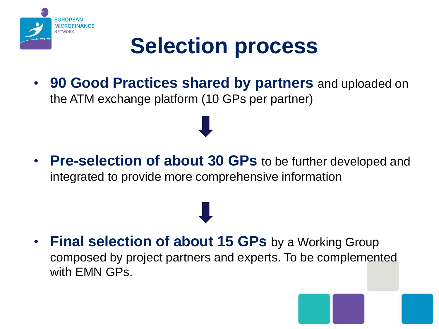

### **Selection process**

• **90 Good Practices shared by partners** and uploaded on the ATM exchange platform (10 GPs per partner)

• **Pre-selection of about 30 GPs** to be further developed and integrated to provide more comprehensive information

**Final selection of about 15 GPs** by a Working Group composed by project partners and experts. To be complemented with EMN GPs.

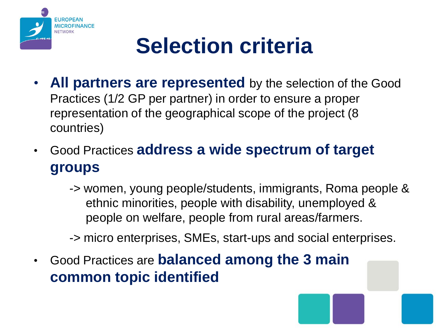

### **Selection criteria**

- **All partners are represented** by the selection of the Good Practices (1/2 GP per partner) in order to ensure a proper representation of the geographical scope of the project (8 countries)
- Good Practices **address a wide spectrum of target groups** 
	- -> women, young people/students, immigrants, Roma people & ethnic minorities, people with disability, unemployed & people on welfare, people from rural areas/farmers.
	- -> micro enterprises, SMEs, start-ups and social enterprises.
- Good Practices are **balanced among the 3 main common topic identified**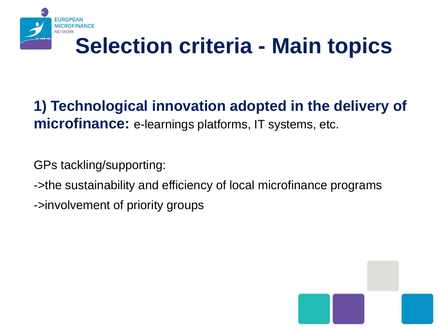

### **Selection criteria - Main topics**

#### **1) Technological innovation adopted in the delivery of microfinance:** e-learnings platforms, IT systems, etc.

GPs tackling/supporting:

->the sustainability and efficiency of local microfinance programs

->involvement of priority groups

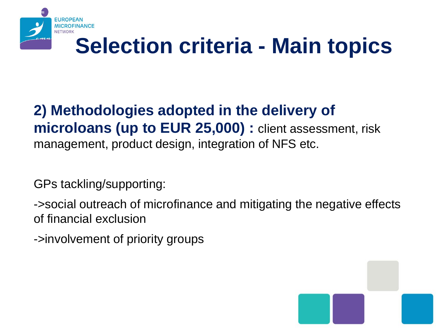

### **Selection criteria - Main topics**

#### **2) Methodologies adopted in the delivery of microloans (up to EUR 25,000) :** client assessment, risk management, product design, integration of NFS etc.

GPs tackling/supporting:

->social outreach of microfinance and mitigating the negative effects of financial exclusion

->involvement of priority groups

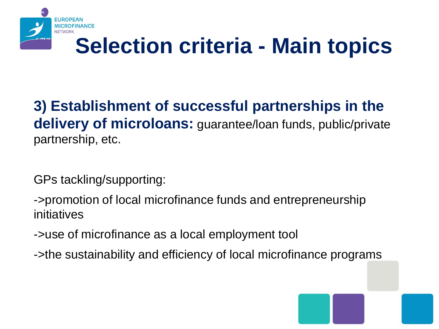

### **Selection criteria - Main topics**

#### **3) Establishment of successful partnerships in the delivery of microloans:** guarantee/loan funds, public/private partnership, etc.

GPs tackling/supporting:

->promotion of local microfinance funds and entrepreneurship initiatives

->use of microfinance as a local employment tool

->the sustainability and efficiency of local microfinance programs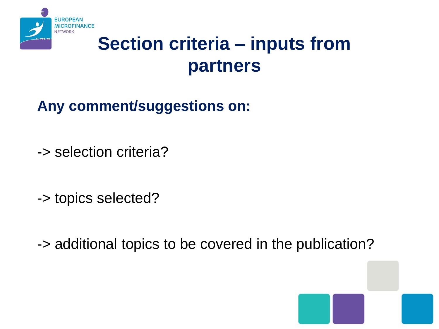

### **Section criteria – inputs from partners**

#### **Any comment/suggestions on:**

-> selection criteria?

-> topics selected?

-> additional topics to be covered in the publication?

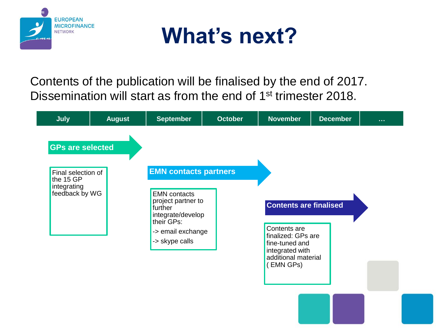



Contents of the publication will be finalised by the end of 2017. Dissemination will start as from the end of 1st trimester 2018.

| <b>GPs are selected</b><br><b>EMN contacts partners</b><br>Final selection of<br>the 15 GP<br>integrating<br>feedback by WG<br><b>EMN</b> contacts<br>project partner to<br><b>Contents are finalised</b><br>further<br>integrate/develop<br>their GPs:<br>Contents are<br>-> email exchange<br>finalized: GPs are<br>-> skype calls<br>fine-tuned and<br>integrated with<br>additional material<br>(EMN GPs) | <b>July</b> | <b>August</b> | <b>September</b> | <b>October</b> | <b>November</b> | <b>December</b> | $\sim 100$ |
|---------------------------------------------------------------------------------------------------------------------------------------------------------------------------------------------------------------------------------------------------------------------------------------------------------------------------------------------------------------------------------------------------------------|-------------|---------------|------------------|----------------|-----------------|-----------------|------------|
|                                                                                                                                                                                                                                                                                                                                                                                                               |             |               |                  |                |                 |                 |            |